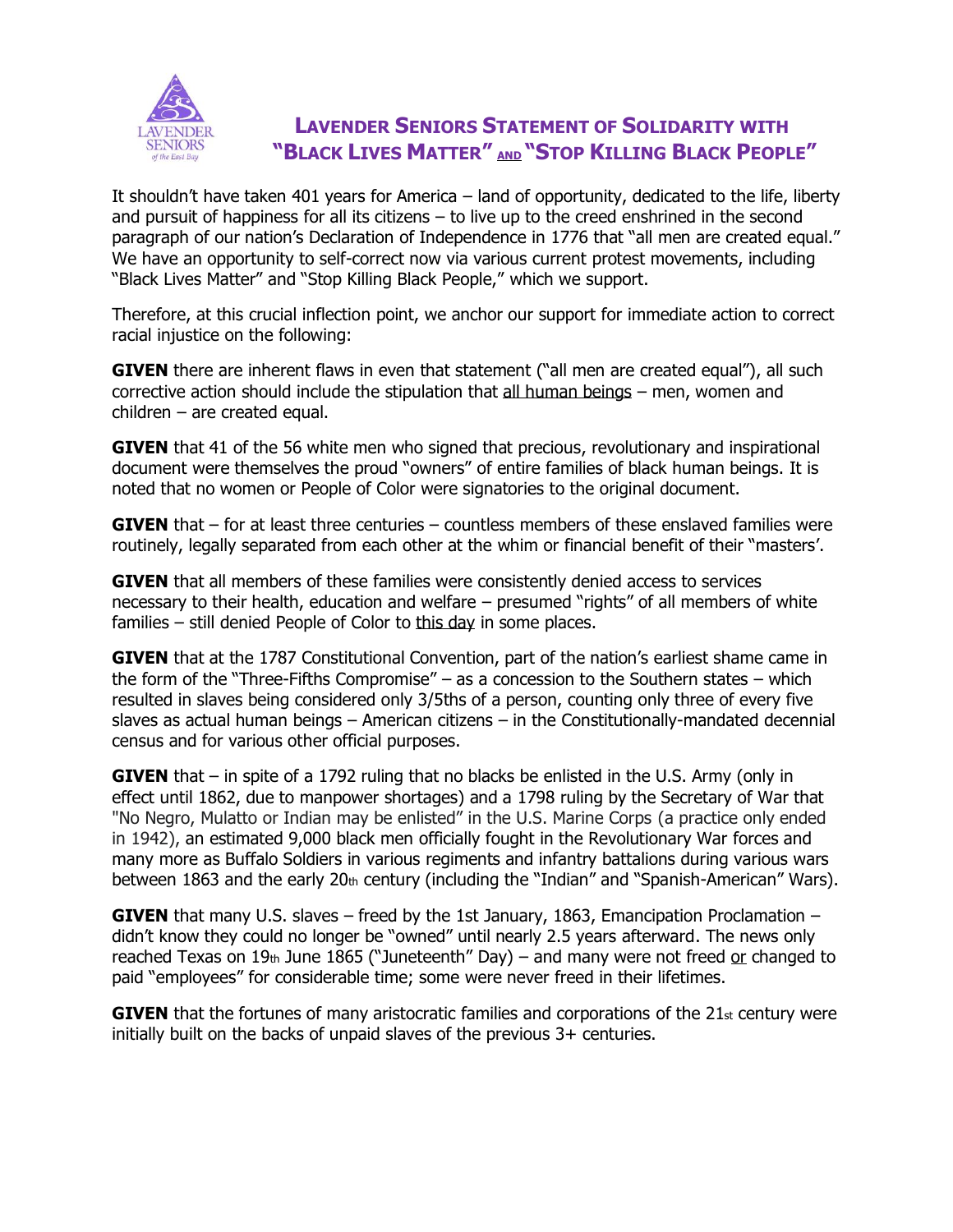

## **LAVENDER SENIORS STATEMENT OF SOLIDARITY WITH "BLACK LIVES MATTER" AND "STOP KILLING BLACK PEOPLE"**

It shouldn't have taken 401 years for America – land of opportunity, dedicated to the life, liberty and pursuit of happiness for all its citizens – to live up to the creed enshrined in the second paragraph of our nation's Declaration of Independence in 1776 that "all men are created equal." We have an opportunity to self-correct now via various current protest movements, including "Black Lives Matter" and "Stop Killing Black People," which we support.

Therefore, at this crucial inflection point, we anchor our support for immediate action to correct racial injustice on the following:

**GIVEN** there are inherent flaws in even that statement ("all men are created equal"), all such corrective action should include the stipulation that all human beings – men, women and  $children - are created equal.$ 

**GIVEN** that 41 of the 56 white men who signed that precious, revolutionary and inspirational document were themselves the proud "owners" of entire families of black human beings. It is noted that no women or People of Color were signatories to the original document.

**GIVEN** that – for at least three centuries – countless members of these enslaved families were routinely, legally separated from each other at the whim or financial benefit of their "masters'.

**GIVEN** that all members of these families were consistently denied access to services necessary to their health, education and welfare – presumed "rights" of all members of white families – still denied People of Color to this day in some places.

**GIVEN** that at the 1787 Constitutional Convention, part of the nation's earliest shame came in the form of the "Three-Fifths Compromise" – as a concession to the Southern states – which resulted in slaves being considered only 3/5ths of a person, counting only three of every five slaves as actual human beings – American citizens – in the Constitutionally-mandated decennial census and for various other official purposes.

**GIVEN** that – in spite of a 1792 ruling that no blacks be enlisted in the U.S. Army (only in effect until 1862, due to manpower shortages) and a 1798 ruling by the Secretary of War that "No Negro, Mulatto or Indian may be enlisted" in the U.S. Marine Corps (a practice only ended in 1942), an estimated 9,000 black men officially fought in the Revolutionary War forces and many more as Buffalo Soldiers in various regiments and infantry battalions during various wars between 1863 and the early 20th century (including the "Indian" and "Spanish-American" Wars).

**GIVEN** that many U.S. slaves – freed by the 1st January, 1863, Emancipation Proclamation – didn't know they could no longer be "owned" until nearly 2.5 years afterward. The news only reached Texas on 19th June 1865 ("Juneteenth" Day) – and many were not freed or changed to paid "employees" for considerable time; some were never freed in their lifetimes.

**GIVEN** that the fortunes of many aristocratic families and corporations of the 21st century were initially built on the backs of unpaid slaves of the previous 3+ centuries.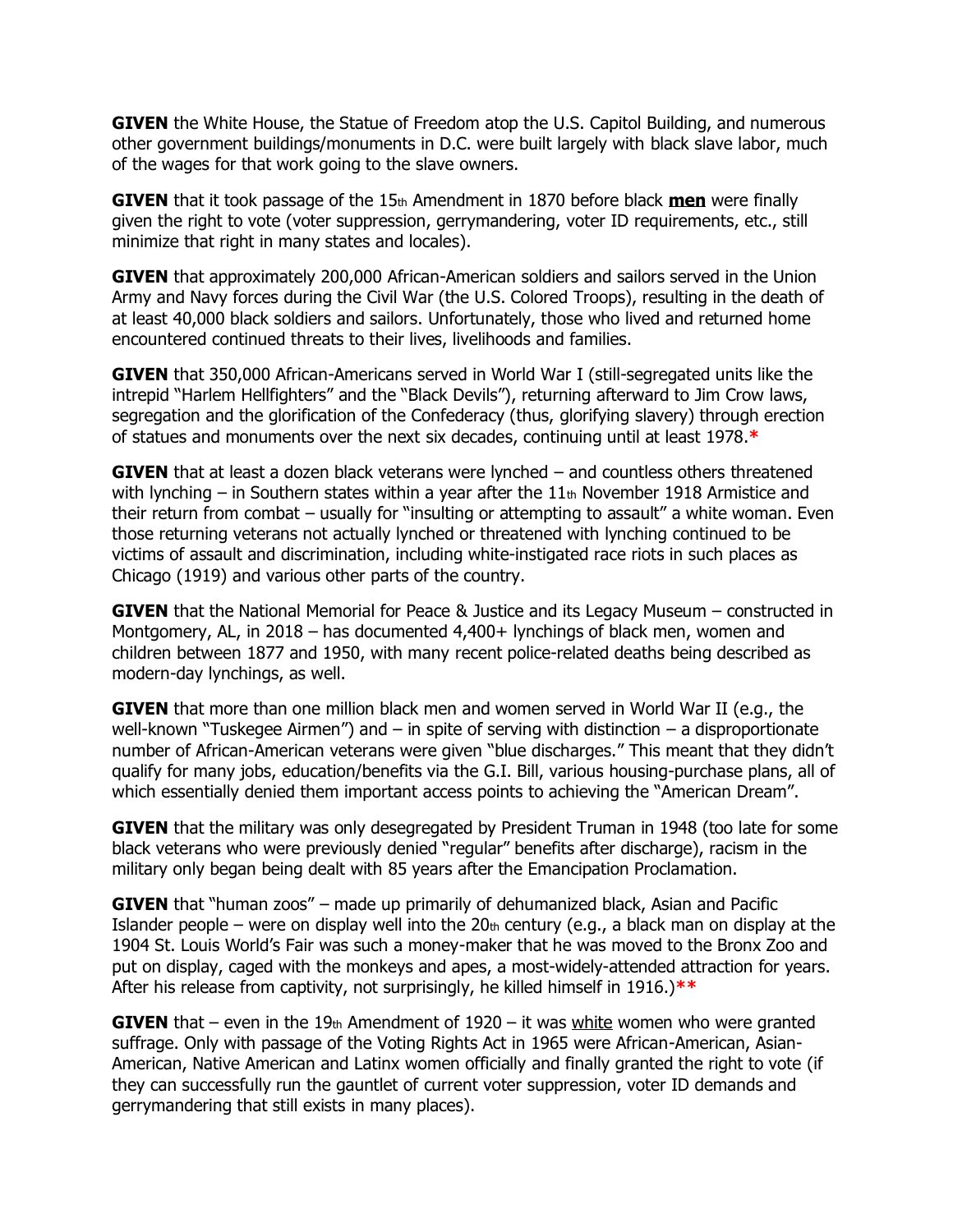**GIVEN** the White House, the Statue of Freedom atop the U.S. Capitol Building, and numerous other government buildings/monuments in D.C. were built largely with black slave labor, much of the wages for that work going to the slave owners.

**GIVEN** that it took passage of the 15th Amendment in 1870 before black **men** were finally given the right to vote (voter suppression, gerrymandering, voter ID requirements, etc., still minimize that right in many states and locales).

**GIVEN** that approximately 200,000 African-American soldiers and sailors served in the Union Army and Navy forces during the Civil War (the U.S. Colored Troops), resulting in the death of at least 40,000 black soldiers and sailors. Unfortunately, those who lived and returned home encountered continued threats to their lives, livelihoods and families.

**GIVEN** that 350,000 African-Americans served in World War I (still-segregated units like the intrepid "Harlem Hellfighters" and the "Black Devils"), returning afterward to Jim Crow laws, segregation and the glorification of the Confederacy (thus, glorifying slavery) through erection of statues and monuments over the next six decades, continuing until at least 1978.**\***

**GIVEN** that at least a dozen black veterans were lynched – and countless others threatened with lynching – in Southern states within a year after the  $11<sub>th</sub>$  November 1918 Armistice and their return from combat – usually for "insulting or attempting to assault" a white woman. Even those returning veterans not actually lynched or threatened with lynching continued to be victims of assault and discrimination, including white-instigated race riots in such places as Chicago (1919) and various other parts of the country.

**GIVEN** that the National Memorial for Peace & Justice and its Legacy Museum – constructed in Montgomery, AL, in 2018 – has documented 4,400+ lynchings of black men, women and children between 1877 and 1950, with many recent police-related deaths being described as modern-day lynchings, as well.

**GIVEN** that more than one million black men and women served in World War II (e.g., the well-known "Tuskegee Airmen") and  $-$  in spite of serving with distinction  $-$  a disproportionate number of African-American veterans were given "blue discharges." This meant that they didn't qualify for many jobs, education/benefits via the G.I. Bill, various housing-purchase plans, all of which essentially denied them important access points to achieving the "American Dream".

**GIVEN** that the military was only desegregated by President Truman in 1948 (too late for some black veterans who were previously denied "regular" benefits after discharge), racism in the military only began being dealt with 85 years after the Emancipation Proclamation.

**GIVEN** that "human zoos" – made up primarily of dehumanized black, Asian and Pacific Islander people – were on display well into the  $20<sub>th</sub>$  century (e.g., a black man on display at the 1904 St. Louis World's Fair was such a money-maker that he was moved to the Bronx Zoo and put on display, caged with the monkeys and apes, a most-widely-attended attraction for years. After his release from captivity, not surprisingly, he killed himself in 1916.)**\*\***

**GIVEN** that – even in the  $19<sub>th</sub>$  Amendment of  $1920 - it$  was white women who were granted suffrage. Only with passage of the Voting Rights Act in 1965 were African-American, Asian-American, Native American and Latinx women officially and finally granted the right to vote (if they can successfully run the gauntlet of current voter suppression, voter ID demands and gerrymandering that still exists in many places).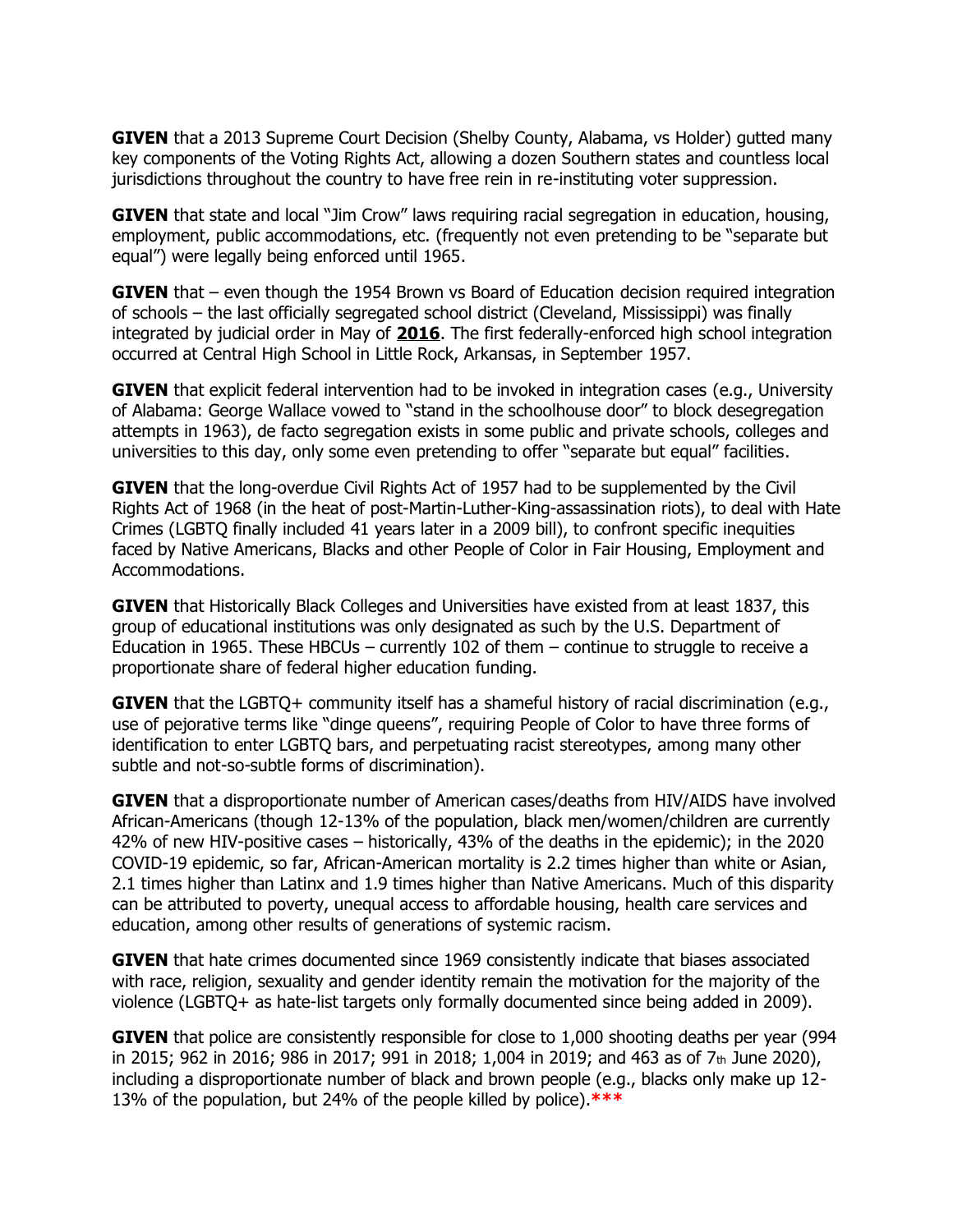**GIVEN** that a 2013 Supreme Court Decision (Shelby County, Alabama, vs Holder) gutted many key components of the Voting Rights Act, allowing a dozen Southern states and countless local jurisdictions throughout the country to have free rein in re-instituting voter suppression.

**GIVEN** that state and local "Jim Crow" laws requiring racial segregation in education, housing, employment, public accommodations, etc. (frequently not even pretending to be "separate but equal") were legally being enforced until 1965.

**GIVEN** that – even though the 1954 Brown vs Board of Education decision required integration of schools – the last officially segregated school district (Cleveland, Mississippi) was finally integrated by judicial order in May of **2016**. The first federally-enforced high school integration occurred at Central High School in Little Rock, Arkansas, in September 1957.

**GIVEN** that explicit federal intervention had to be invoked in integration cases (e.g., University of Alabama: George Wallace vowed to "stand in the schoolhouse door" to block desegregation attempts in 1963), de facto segregation exists in some public and private schools, colleges and universities to this day, only some even pretending to offer "separate but equal" facilities.

**GIVEN** that the long-overdue Civil Rights Act of 1957 had to be supplemented by the Civil Rights Act of 1968 (in the heat of post-Martin-Luther-King-assassination riots), to deal with Hate Crimes (LGBTQ finally included 41 years later in a 2009 bill), to confront specific inequities faced by Native Americans, Blacks and other People of Color in Fair Housing, Employment and Accommodations.

**GIVEN** that Historically Black Colleges and Universities have existed from at least 1837, this group of educational institutions was only designated as such by the U.S. Department of Education in 1965. These HBCUs – currently 102 of them – continue to struggle to receive a proportionate share of federal higher education funding.

**GIVEN** that the LGBTQ+ community itself has a shameful history of racial discrimination (e.g., use of pejorative terms like "dinge queens", requiring People of Color to have three forms of identification to enter LGBTQ bars, and perpetuating racist stereotypes, among many other subtle and not-so-subtle forms of discrimination).

**GIVEN** that a disproportionate number of American cases/deaths from HIV/AIDS have involved African-Americans (though 12-13% of the population, black men/women/children are currently 42% of new HIV-positive cases – historically, 43% of the deaths in the epidemic); in the 2020 COVID-19 epidemic, so far, African-American mortality is 2.2 times higher than white or Asian, 2.1 times higher than Latinx and 1.9 times higher than Native Americans. Much of this disparity can be attributed to poverty, unequal access to affordable housing, health care services and education, among other results of generations of systemic racism.

**GIVEN** that hate crimes documented since 1969 consistently indicate that biases associated with race, religion, sexuality and gender identity remain the motivation for the majority of the violence (LGBTQ+ as hate-list targets only formally documented since being added in 2009).

**GIVEN** that police are consistently responsible for close to 1,000 shooting deaths per year (994 in 2015; 962 in 2016; 986 in 2017; 991 in 2018; 1,004 in 2019; and 463 as of 7th June 2020), including a disproportionate number of black and brown people (e.g., blacks only make up 12- 13% of the population, but 24% of the people killed by police).**\*\*\***